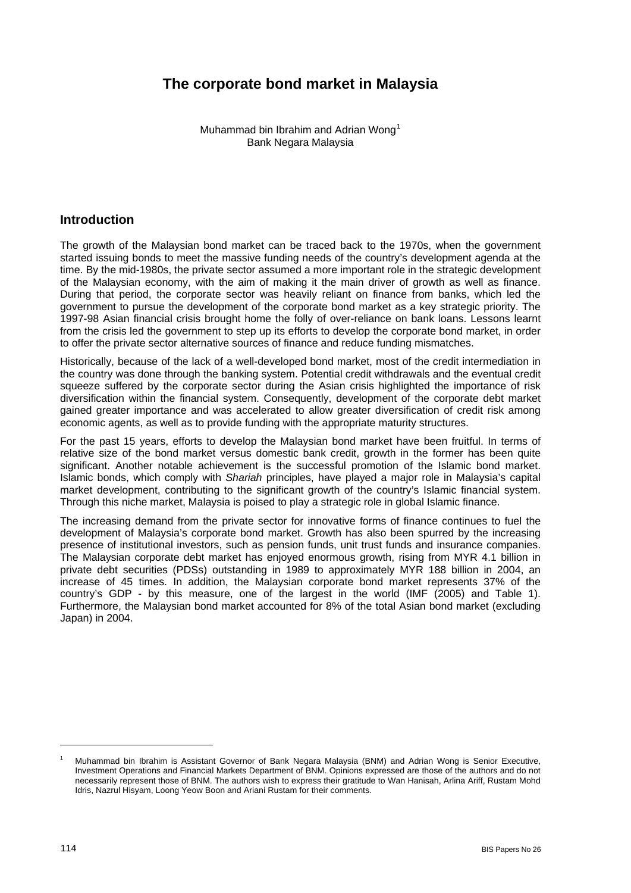# **The corporate bond market in Malaysia**

Muhammad bin Ibrahim and Adrian Wong<sup>[1](#page-0-0)</sup> Bank Negara Malaysia

## **Introduction**

The growth of the Malaysian bond market can be traced back to the 1970s, when the government started issuing bonds to meet the massive funding needs of the country's development agenda at the time. By the mid-1980s, the private sector assumed a more important role in the strategic development of the Malaysian economy, with the aim of making it the main driver of growth as well as finance. During that period, the corporate sector was heavily reliant on finance from banks, which led the government to pursue the development of the corporate bond market as a key strategic priority. The 1997-98 Asian financial crisis brought home the folly of over-reliance on bank loans. Lessons learnt from the crisis led the government to step up its efforts to develop the corporate bond market, in order to offer the private sector alternative sources of finance and reduce funding mismatches.

Historically, because of the lack of a well-developed bond market, most of the credit intermediation in the country was done through the banking system. Potential credit withdrawals and the eventual credit squeeze suffered by the corporate sector during the Asian crisis highlighted the importance of risk diversification within the financial system. Consequently, development of the corporate debt market gained greater importance and was accelerated to allow greater diversification of credit risk among economic agents, as well as to provide funding with the appropriate maturity structures.

For the past 15 years, efforts to develop the Malaysian bond market have been fruitful. In terms of relative size of the bond market versus domestic bank credit, growth in the former has been quite significant. Another notable achievement is the successful promotion of the Islamic bond market. Islamic bonds, which comply with *Shariah* principles, have played a major role in Malaysia's capital market development, contributing to the significant growth of the country's Islamic financial system. Through this niche market, Malaysia is poised to play a strategic role in global Islamic finance.

The increasing demand from the private sector for innovative forms of finance continues to fuel the development of Malaysia's corporate bond market. Growth has also been spurred by the increasing presence of institutional investors, such as pension funds, unit trust funds and insurance companies. The Malaysian corporate debt market has enjoyed enormous growth, rising from MYR 4.1 billion in private debt securities (PDSs) outstanding in 1989 to approximately MYR 188 billion in 2004, an increase of 45 times. In addition, the Malaysian corporate bond market represents 37% of the country's GDP - by this measure, one of the largest in the world (IMF (2005) and Table 1). Furthermore, the Malaysian bond market accounted for 8% of the total Asian bond market (excluding Japan) in 2004.

l

<span id="page-0-0"></span><sup>1</sup> Muhammad bin Ibrahim is Assistant Governor of Bank Negara Malaysia (BNM) and Adrian Wong is Senior Executive, Investment Operations and Financial Markets Department of BNM. Opinions expressed are those of the authors and do not necessarily represent those of BNM. The authors wish to express their gratitude to Wan Hanisah, Arlina Ariff, Rustam Mohd Idris, Nazrul Hisyam, Loong Yeow Boon and Ariani Rustam for their comments.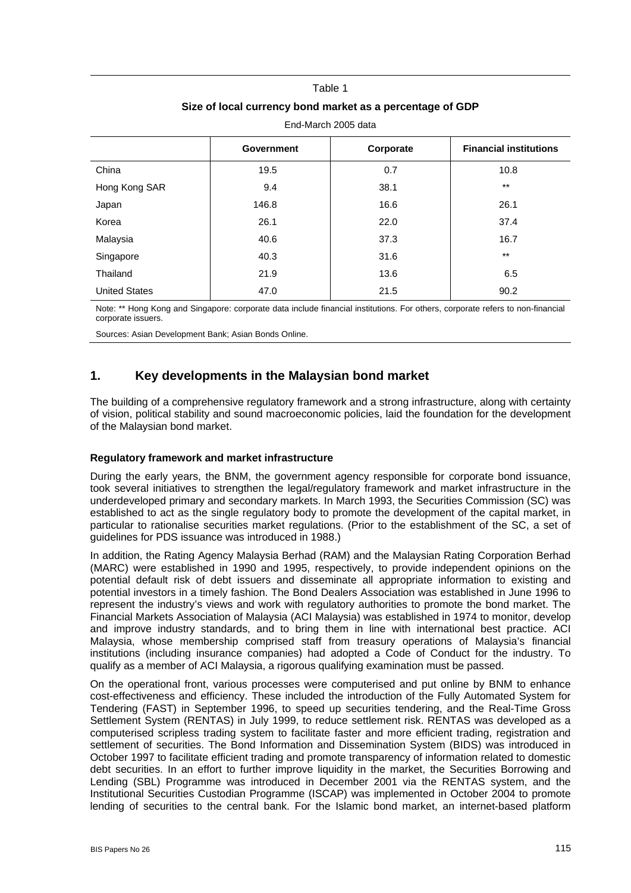#### Table 1

## **Size of local currency bond market as a percentage of GDP**

|                      | <b>Government</b> | Corporate | <b>Financial institutions</b> |  |
|----------------------|-------------------|-----------|-------------------------------|--|
| China                | 19.5              | 0.7       | 10.8                          |  |
| Hong Kong SAR        | 9.4               | 38.1      | $***$                         |  |
| Japan                | 146.8             | 16.6      | 26.1                          |  |
| Korea                | 26.1              | 22.0      | 37.4                          |  |
| Malaysia             | 40.6              | 37.3      | 16.7                          |  |
| Singapore            | 40.3              | 31.6      | $***$                         |  |
| Thailand             | 21.9              | 13.6      | 6.5                           |  |
| <b>United States</b> | 47.0              | 21.5      | 90.2                          |  |

End-March 2005 data

Note: \*\* Hong Kong and Singapore: corporate data include financial institutions. For others, corporate refers to non-financial corporate issuers.

Sources: Asian Development Bank; Asian Bonds Online.

# **1. Key developments in the Malaysian bond market**

The building of a comprehensive regulatory framework and a strong infrastructure, along with certainty of vision, political stability and sound macroeconomic policies, laid the foundation for the development of the Malaysian bond market.

#### **Regulatory framework and market infrastructure**

During the early years, the BNM, the government agency responsible for corporate bond issuance, took several initiatives to strengthen the legal/regulatory framework and market infrastructure in the underdeveloped primary and secondary markets. In March 1993, the Securities Commission (SC) was established to act as the single regulatory body to promote the development of the capital market, in particular to rationalise securities market regulations. (Prior to the establishment of the SC, a set of guidelines for PDS issuance was introduced in 1988.)

In addition, the Rating Agency Malaysia Berhad (RAM) and the Malaysian Rating Corporation Berhad (MARC) were established in 1990 and 1995, respectively, to provide independent opinions on the potential default risk of debt issuers and disseminate all appropriate information to existing and potential investors in a timely fashion. The Bond Dealers Association was established in June 1996 to represent the industry's views and work with regulatory authorities to promote the bond market. The Financial Markets Association of Malaysia (ACI Malaysia) was established in 1974 to monitor, develop and improve industry standards, and to bring them in line with international best practice. ACI Malaysia, whose membership comprised staff from treasury operations of Malaysia's financial institutions (including insurance companies) had adopted a Code of Conduct for the industry. To qualify as a member of ACI Malaysia, a rigorous qualifying examination must be passed.

On the operational front, various processes were computerised and put online by BNM to enhance cost-effectiveness and efficiency. These included the introduction of the Fully Automated System for Tendering (FAST) in September 1996, to speed up securities tendering, and the Real-Time Gross Settlement System (RENTAS) in July 1999, to reduce settlement risk. RENTAS was developed as a computerised scripless trading system to facilitate faster and more efficient trading, registration and settlement of securities. The Bond Information and Dissemination System (BIDS) was introduced in October 1997 to facilitate efficient trading and promote transparency of information related to domestic debt securities. In an effort to further improve liquidity in the market, the Securities Borrowing and Lending (SBL) Programme was introduced in December 2001 via the RENTAS system, and the Institutional Securities Custodian Programme (ISCAP) was implemented in October 2004 to promote lending of securities to the central bank. For the Islamic bond market, an internet-based platform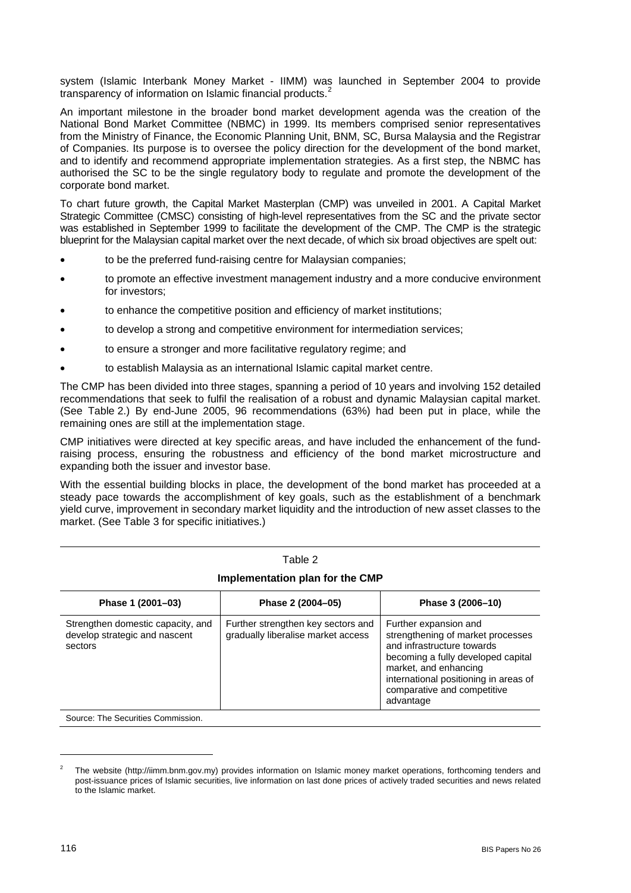system (Islamic Interbank Money Market - IIMM) was launched in September 2004 to provide transparency of information on Islamic financial products.<sup>[2](#page-2-0)</sup>

An important milestone in the broader bond market development agenda was the creation of the National Bond Market Committee (NBMC) in 1999. Its members comprised senior representatives from the Ministry of Finance, the Economic Planning Unit, BNM, SC, Bursa Malaysia and the Registrar of Companies. Its purpose is to oversee the policy direction for the development of the bond market, and to identify and recommend appropriate implementation strategies. As a first step, the NBMC has authorised the SC to be the single regulatory body to regulate and promote the development of the corporate bond market.

To chart future growth, the Capital Market Masterplan (CMP) was unveiled in 2001. A Capital Market Strategic Committee (CMSC) consisting of high-level representatives from the SC and the private sector was established in September 1999 to facilitate the development of the CMP. The CMP is the strategic blueprint for the Malaysian capital market over the next decade, of which six broad objectives are spelt out:

- to be the preferred fund-raising centre for Malaysian companies;
- to promote an effective investment management industry and a more conducive environment for investors;
- to enhance the competitive position and efficiency of market institutions;
- to develop a strong and competitive environment for intermediation services;
- to ensure a stronger and more facilitative regulatory regime; and
- to establish Malaysia as an international Islamic capital market centre.

The CMP has been divided into three stages, spanning a period of 10 years and involving 152 detailed recommendations that seek to fulfil the realisation of a robust and dynamic Malaysian capital market. (See Table 2.) By end-June 2005, 96 recommendations (63%) had been put in place, while the remaining ones are still at the implementation stage.

CMP initiatives were directed at key specific areas, and have included the enhancement of the fundraising process, ensuring the robustness and efficiency of the bond market microstructure and expanding both the issuer and investor base.

With the essential building blocks in place, the development of the bond market has proceeded at a steady pace towards the accomplishment of key goals, such as the establishment of a benchmark yield curve, improvement in secondary market liquidity and the introduction of new asset classes to the market. (See Table 3 for specific initiatives.)

 $T$ able 2

| ⊺auie ∠<br>Implementation plan for the CMP                                    |                                                                          |                                                                                                                                                                                                                                              |  |  |  |
|-------------------------------------------------------------------------------|--------------------------------------------------------------------------|----------------------------------------------------------------------------------------------------------------------------------------------------------------------------------------------------------------------------------------------|--|--|--|
| Phase 1 (2001–03)                                                             | Phase 2 (2004–05)                                                        | Phase 3 (2006-10)                                                                                                                                                                                                                            |  |  |  |
| Strengthen domestic capacity, and<br>develop strategic and nascent<br>sectors | Further strengthen key sectors and<br>gradually liberalise market access | Further expansion and<br>strengthening of market processes<br>and infrastructure towards<br>becoming a fully developed capital<br>market, and enhancing<br>international positioning in areas of<br>comparative and competitive<br>advantage |  |  |  |

#### Source: The Securities Commission.

l

<span id="page-2-0"></span><sup>2</sup> The website (http://iimm.bnm.gov.my) provides information on Islamic money market operations, forthcoming tenders and post-issuance prices of Islamic securities, live information on last done prices of actively traded securities and news related to the Islamic market.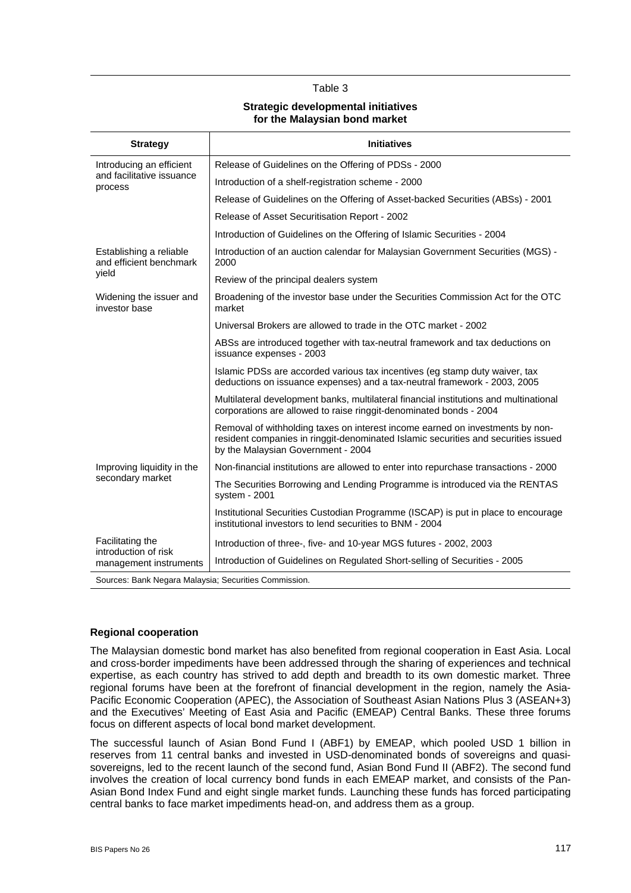#### Table 3

#### **Strategic developmental initiatives for the Malaysian bond market**

| <b>Strategy</b>                                       | <b>Initiatives</b>                                                                                                                                                                                        |  |  |  |
|-------------------------------------------------------|-----------------------------------------------------------------------------------------------------------------------------------------------------------------------------------------------------------|--|--|--|
| Introducing an efficient                              | Release of Guidelines on the Offering of PDSs - 2000                                                                                                                                                      |  |  |  |
| and facilitative issuance<br>process                  | Introduction of a shelf-registration scheme - 2000                                                                                                                                                        |  |  |  |
|                                                       | Release of Guidelines on the Offering of Asset-backed Securities (ABSs) - 2001                                                                                                                            |  |  |  |
|                                                       | Release of Asset Securitisation Report - 2002                                                                                                                                                             |  |  |  |
|                                                       | Introduction of Guidelines on the Offering of Islamic Securities - 2004                                                                                                                                   |  |  |  |
| Establishing a reliable<br>and efficient benchmark    | Introduction of an auction calendar for Malaysian Government Securities (MGS) -<br>2000                                                                                                                   |  |  |  |
| yield                                                 | Review of the principal dealers system                                                                                                                                                                    |  |  |  |
| Widening the issuer and<br>investor base              | Broadening of the investor base under the Securities Commission Act for the OTC<br>market                                                                                                                 |  |  |  |
|                                                       | Universal Brokers are allowed to trade in the OTC market - 2002                                                                                                                                           |  |  |  |
|                                                       | ABSs are introduced together with tax-neutral framework and tax deductions on<br>issuance expenses - 2003                                                                                                 |  |  |  |
|                                                       | Islamic PDSs are accorded various tax incentives (eg stamp duty waiver, tax<br>deductions on issuance expenses) and a tax-neutral framework - 2003, 2005                                                  |  |  |  |
|                                                       | Multilateral development banks, multilateral financial institutions and multinational<br>corporations are allowed to raise ringgit-denominated bonds - 2004                                               |  |  |  |
|                                                       | Removal of withholding taxes on interest income earned on investments by non-<br>resident companies in ringgit-denominated Islamic securities and securities issued<br>by the Malaysian Government - 2004 |  |  |  |
| Improving liquidity in the<br>secondary market        | Non-financial institutions are allowed to enter into repurchase transactions - 2000                                                                                                                       |  |  |  |
|                                                       | The Securities Borrowing and Lending Programme is introduced via the RENTAS<br>system - 2001                                                                                                              |  |  |  |
|                                                       | Institutional Securities Custodian Programme (ISCAP) is put in place to encourage<br>institutional investors to lend securities to BNM - 2004                                                             |  |  |  |
| Facilitating the                                      | Introduction of three-, five- and 10-year MGS futures - 2002, 2003                                                                                                                                        |  |  |  |
| introduction of risk<br>management instruments        | Introduction of Guidelines on Regulated Short-selling of Securities - 2005                                                                                                                                |  |  |  |
| Sources: Bank Negara Malaysia; Securities Commission. |                                                                                                                                                                                                           |  |  |  |

#### **Regional cooperation**

The Malaysian domestic bond market has also benefited from regional cooperation in East Asia. Local and cross-border impediments have been addressed through the sharing of experiences and technical expertise, as each country has strived to add depth and breadth to its own domestic market. Three regional forums have been at the forefront of financial development in the region, namely the Asia-Pacific Economic Cooperation (APEC), the Association of Southeast Asian Nations Plus 3 (ASEAN+3) and the Executives' Meeting of East Asia and Pacific (EMEAP) Central Banks. These three forums focus on different aspects of local bond market development.

The successful launch of Asian Bond Fund I (ABF1) by EMEAP, which pooled USD 1 billion in reserves from 11 central banks and invested in USD-denominated bonds of sovereigns and quasisovereigns, led to the recent launch of the second fund, Asian Bond Fund II (ABF2). The second fund involves the creation of local currency bond funds in each EMEAP market, and consists of the Pan-Asian Bond Index Fund and eight single market funds. Launching these funds has forced participating central banks to face market impediments head-on, and address them as a group.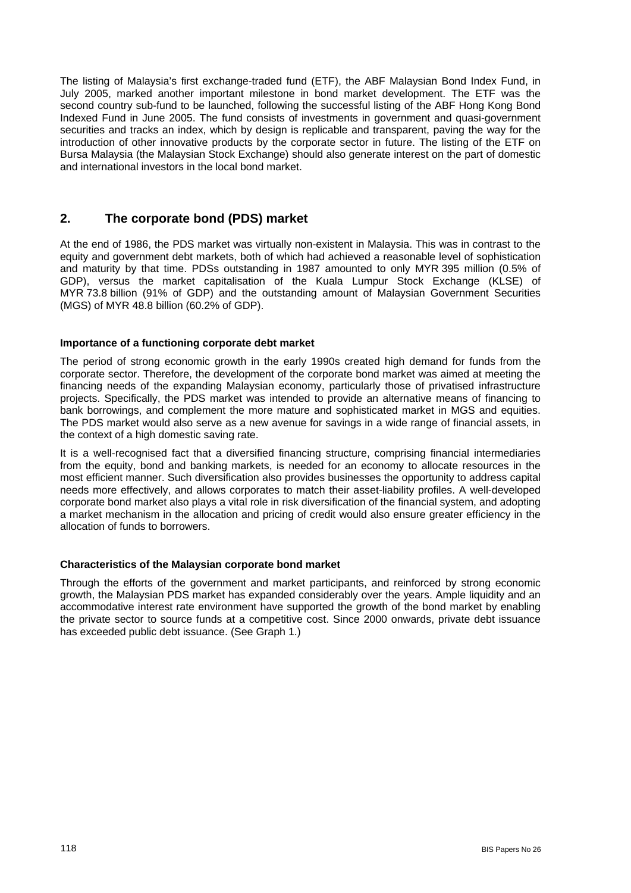The listing of Malaysia's first exchange-traded fund (ETF), the ABF Malaysian Bond Index Fund, in July 2005, marked another important milestone in bond market development. The ETF was the second country sub-fund to be launched, following the successful listing of the ABF Hong Kong Bond Indexed Fund in June 2005. The fund consists of investments in government and quasi-government securities and tracks an index, which by design is replicable and transparent, paving the way for the introduction of other innovative products by the corporate sector in future. The listing of the ETF on Bursa Malaysia (the Malaysian Stock Exchange) should also generate interest on the part of domestic and international investors in the local bond market.

# **2. The corporate bond (PDS) market**

At the end of 1986, the PDS market was virtually non-existent in Malaysia. This was in contrast to the equity and government debt markets, both of which had achieved a reasonable level of sophistication and maturity by that time. PDSs outstanding in 1987 amounted to only MYR 395 million (0.5% of GDP), versus the market capitalisation of the Kuala Lumpur Stock Exchange (KLSE) of MYR 73.8 billion (91% of GDP) and the outstanding amount of Malaysian Government Securities (MGS) of MYR 48.8 billion (60.2% of GDP).

## **Importance of a functioning corporate debt market**

The period of strong economic growth in the early 1990s created high demand for funds from the corporate sector. Therefore, the development of the corporate bond market was aimed at meeting the financing needs of the expanding Malaysian economy, particularly those of privatised infrastructure projects. Specifically, the PDS market was intended to provide an alternative means of financing to bank borrowings, and complement the more mature and sophisticated market in MGS and equities. The PDS market would also serve as a new avenue for savings in a wide range of financial assets, in the context of a high domestic saving rate.

It is a well-recognised fact that a diversified financing structure, comprising financial intermediaries from the equity, bond and banking markets, is needed for an economy to allocate resources in the most efficient manner. Such diversification also provides businesses the opportunity to address capital needs more effectively, and allows corporates to match their asset-liability profiles. A well-developed corporate bond market also plays a vital role in risk diversification of the financial system, and adopting a market mechanism in the allocation and pricing of credit would also ensure greater efficiency in the allocation of funds to borrowers.

## **Characteristics of the Malaysian corporate bond market**

Through the efforts of the government and market participants, and reinforced by strong economic growth, the Malaysian PDS market has expanded considerably over the years. Ample liquidity and an accommodative interest rate environment have supported the growth of the bond market by enabling the private sector to source funds at a competitive cost. Since 2000 onwards, private debt issuance has exceeded public debt issuance. (See Graph 1.)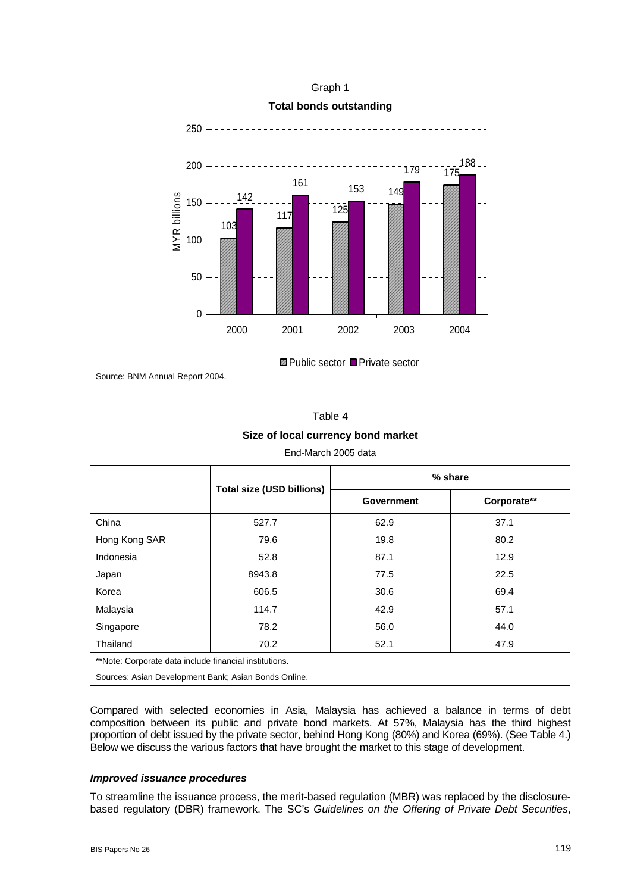

Graph 1

**■Public sector ■ Private sector** 

Source: BNM Annual Report 2004.

# Table 4

## **Size of local currency bond market**

End-March 2005 data

|                                                       |                                  | % share           |             |  |
|-------------------------------------------------------|----------------------------------|-------------------|-------------|--|
|                                                       | <b>Total size (USD billions)</b> | <b>Government</b> | Corporate** |  |
| China                                                 | 527.7                            | 62.9              | 37.1        |  |
| Hong Kong SAR                                         | 79.6                             | 19.8              | 80.2        |  |
| Indonesia                                             | 52.8                             | 87.1              | 12.9        |  |
| Japan                                                 | 8943.8                           | 77.5              | 22.5        |  |
| Korea                                                 | 606.5                            | 30.6              | 69.4        |  |
| Malaysia                                              | 114.7                            | 42.9              | 57.1        |  |
| Singapore                                             | 78.2                             | 56.0              | 44.0        |  |
| Thailand                                              | 70.2                             | 52.1              | 47.9        |  |
| **Note: Corporate data include financial institutions |                                  |                   |             |  |

\*Note: Corporate data include financial institutions.

Sources: Asian Development Bank; Asian Bonds Online.

Compared with selected economies in Asia, Malaysia has achieved a balance in terms of debt composition between its public and private bond markets. At 57%, Malaysia has the third highest proportion of debt issued by the private sector, behind Hong Kong (80%) and Korea (69%). (See Table 4.) Below we discuss the various factors that have brought the market to this stage of development.

#### *Improved issuance procedures*

To streamline the issuance process, the merit-based regulation (MBR) was replaced by the disclosurebased regulatory (DBR) framework. The SC's *Guidelines on the Offering of Private Debt Securities*,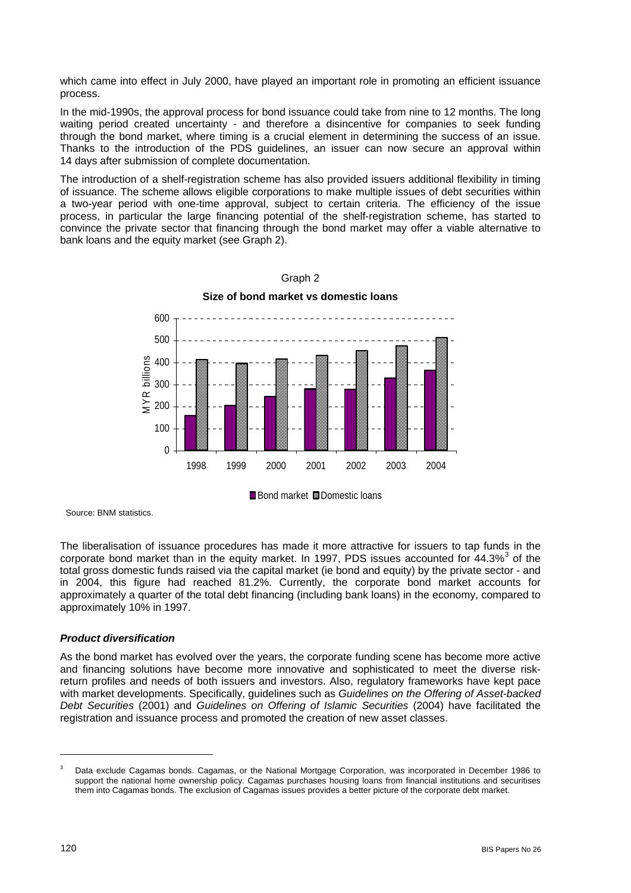which came into effect in July 2000, have played an important role in promoting an efficient issuance process.

In the mid-1990s, the approval process for bond issuance could take from nine to 12 months. The long waiting period created uncertainty - and therefore a disincentive for companies to seek funding through the bond market, where timing is a crucial element in determining the success of an issue. Thanks to the introduction of the PDS guidelines, an issuer can now secure an approval within 14 days after submission of complete documentation.

The introduction of a shelf-registration scheme has also provided issuers additional flexibility in timing of issuance. The scheme allows eligible corporations to make multiple issues of debt securities within a two-year period with one-time approval, subject to certain criteria. The efficiency of the issue process, in particular the large financing potential of the shelf-registration scheme, has started to convince the private sector that financing through the bond market may offer a viable alternative to bank loans and the equity market (see Graph 2).



Graph 2

■Bond market ■Domestic loans

Source: BNM statistics.

The liberalisation of issuance procedures has made it more attractive for issuers to tap funds in the corporate bond market than in the equity market. In 1997, PDS issues accounted for  $44.3\%$  $44.3\%$  $44.3\%$ <sup>3</sup> of the total gross domestic funds raised via the capital market (ie bond and equity) by the private sector - and in 2004, this figure had reached 81.2%. Currently, the corporate bond market accounts for approximately a quarter of the total debt financing (including bank loans) in the economy, compared to approximately 10% in 1997.

#### *Product diversification*

As the bond market has evolved over the years, the corporate funding scene has become more active and financing solutions have become more innovative and sophisticated to meet the diverse riskreturn profiles and needs of both issuers and investors. Also, regulatory frameworks have kept pace with market developments. Specifically, guidelines such as *Guidelines on the Offering of Asset-backed Debt Securities* (2001) and *Guidelines on Offering of Islamic Securities* (2004) have facilitated the registration and issuance process and promoted the creation of new asset classes.

l

<span id="page-6-0"></span><sup>3</sup> Data exclude Cagamas bonds. Cagamas, or the National Mortgage Corporation, was incorporated in December 1986 to support the national home ownership policy. Cagamas purchases housing loans from financial institutions and securitises them into Cagamas bonds. The exclusion of Cagamas issues provides a better picture of the corporate debt market.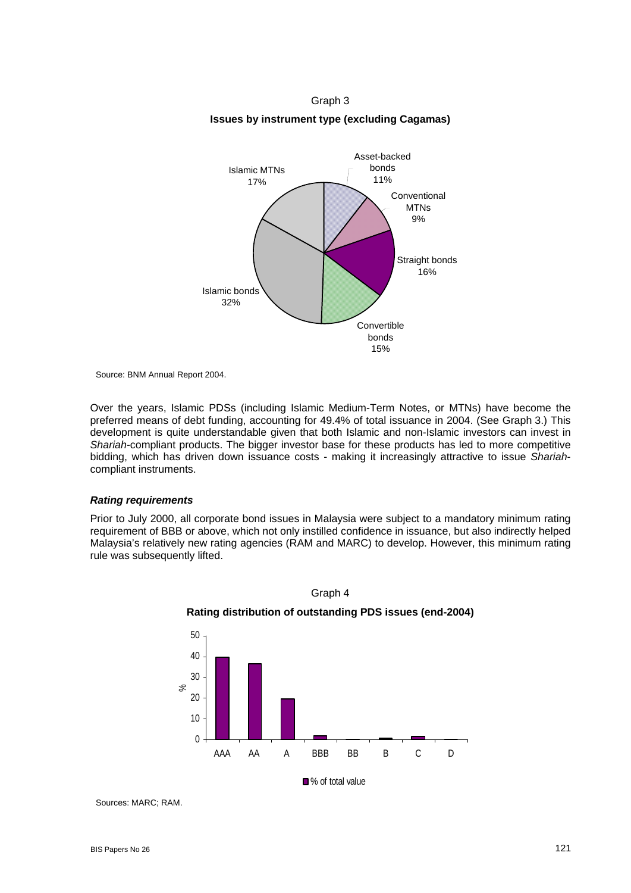

**Issues by instrument type (excluding Cagamas)** 



Source: BNM Annual Report 2004.

Over the years, Islamic PDSs (including Islamic Medium-Term Notes, or MTNs) have become the preferred means of debt funding, accounting for 49.4% of total issuance in 2004. (See Graph 3.) This development is quite understandable given that both Islamic and non-Islamic investors can invest in *Shariah*-compliant products. The bigger investor base for these products has led to more competitive bidding, which has driven down issuance costs - making it increasingly attractive to issue *Shariah*compliant instruments.

#### *Rating requirements*

Prior to July 2000, all corporate bond issues in Malaysia were subject to a mandatory minimum rating requirement of BBB or above, which not only instilled confidence in issuance, but also indirectly helped Malaysia's relatively new rating agencies (RAM and MARC) to develop. However, this minimum rating rule was subsequently lifted.





Sources: MARC; RAM.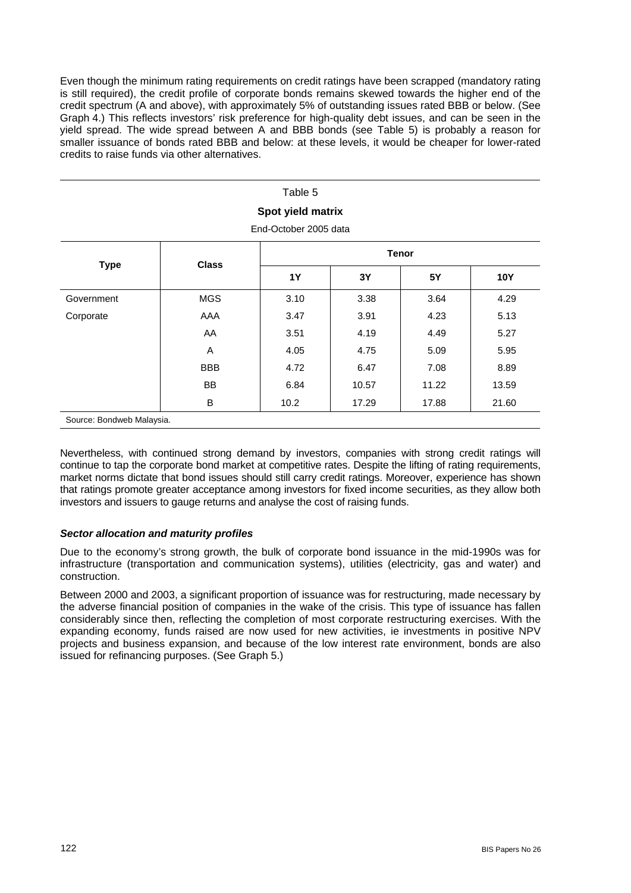Even though the minimum rating requirements on credit ratings have been scrapped (mandatory rating is still required), the credit profile of corporate bonds remains skewed towards the higher end of the credit spectrum (A and above), with approximately 5% of outstanding issues rated BBB or below. (See Graph 4.) This reflects investors' risk preference for high-quality debt issues, and can be seen in the yield spread. The wide spread between A and BBB bonds (see Table 5) is probably a reason for smaller issuance of bonds rated BBB and below: at these levels, it would be cheaper for lower-rated credits to raise funds via other alternatives.

| Table 5<br>Spot yield matrix<br>End-October 2005 data |              |              |       |       |            |
|-------------------------------------------------------|--------------|--------------|-------|-------|------------|
| <b>Type</b>                                           | <b>Class</b> | <b>Tenor</b> |       |       |            |
|                                                       |              | <b>1Y</b>    | 3Y    | 5Y    | <b>10Y</b> |
| Government                                            | <b>MGS</b>   | 3.10         | 3.38  | 3.64  | 4.29       |
| Corporate                                             | AAA          | 3.47         | 3.91  | 4.23  | 5.13       |
|                                                       | AA           | 3.51         | 4.19  | 4.49  | 5.27       |
|                                                       | A            | 4.05         | 4.75  | 5.09  | 5.95       |
|                                                       | <b>BBB</b>   | 4.72         | 6.47  | 7.08  | 8.89       |
|                                                       | <b>BB</b>    | 6.84         | 10.57 | 11.22 | 13.59      |
|                                                       | B            | 10.2         | 17.29 | 17.88 | 21.60      |
| Source: Bondweb Malaysia.                             |              |              |       |       |            |

Nevertheless, with continued strong demand by investors, companies with strong credit ratings will continue to tap the corporate bond market at competitive rates. Despite the lifting of rating requirements, market norms dictate that bond issues should still carry credit ratings. Moreover, experience has shown that ratings promote greater acceptance among investors for fixed income securities, as they allow both investors and issuers to gauge returns and analyse the cost of raising funds.

## *Sector allocation and maturity profiles*

Due to the economy's strong growth, the bulk of corporate bond issuance in the mid-1990s was for infrastructure (transportation and communication systems), utilities (electricity, gas and water) and construction.

Between 2000 and 2003, a significant proportion of issuance was for restructuring, made necessary by the adverse financial position of companies in the wake of the crisis. This type of issuance has fallen considerably since then, reflecting the completion of most corporate restructuring exercises. With the expanding economy, funds raised are now used for new activities, ie investments in positive NPV projects and business expansion, and because of the low interest rate environment, bonds are also issued for refinancing purposes. (See Graph 5.)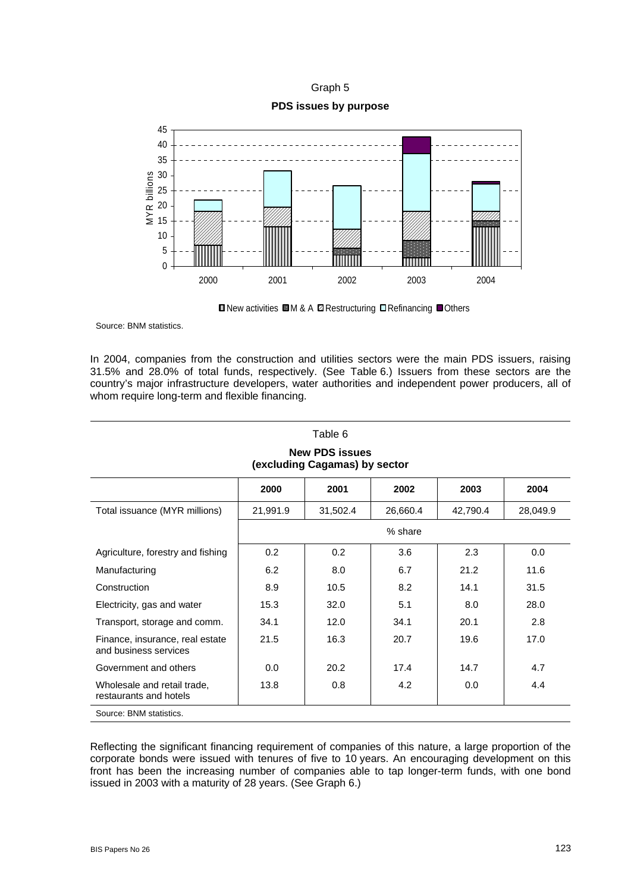Graph 5 **PDS issues by purpose** 



**■New activities ■M & A Ø Restructuring O Refinancing ■ Others** 

Source: BNM statistics.

In 2004, companies from the construction and utilities sectors were the main PDS issuers, raising 31.5% and 28.0% of total funds, respectively. (See Table 6.) Issuers from these sectors are the country's major infrastructure developers, water authorities and independent power producers, all of whom require long-term and flexible financing.

| באטכנו כשר ד וא<br>(excluding Cagamas) by sector         |          |          |          |          |          |
|----------------------------------------------------------|----------|----------|----------|----------|----------|
|                                                          | 2000     | 2001     | 2002     | 2003     | 2004     |
| Total issuance (MYR millions)                            | 21,991.9 | 31,502.4 | 26,660.4 | 42,790.4 | 28,049.9 |
|                                                          | % share  |          |          |          |          |
| Agriculture, forestry and fishing                        | 0.2      | 0.2      | 3.6      | 2.3      | 0.0      |
| Manufacturing                                            | 6.2      | 8.0      | 6.7      | 21.2     | 11.6     |
| Construction                                             | 8.9      | 10.5     | 8.2      | 14.1     | 31.5     |
| Electricity, gas and water                               | 15.3     | 32.0     | 5.1      | 8.0      | 28.0     |
| Transport, storage and comm.                             | 34.1     | 12.0     | 34.1     | 20.1     | 2.8      |
| Finance, insurance, real estate<br>and business services | 21.5     | 16.3     | 20.7     | 19.6     | 17.0     |
| Government and others                                    | 0.0      | 20.2     | 17.4     | 14.7     | 4.7      |
| Wholesale and retail trade,<br>restaurants and hotels    | 13.8     | 0.8      | 4.2      | 0.0      | 4.4      |
| Source: BNM statistics.                                  |          |          |          |          |          |

Table 6 **New PDS issues** 

Reflecting the significant financing requirement of companies of this nature, a large proportion of the corporate bonds were issued with tenures of five to 10 years. An encouraging development on this front has been the increasing number of companies able to tap longer-term funds, with one bond issued in 2003 with a maturity of 28 years. (See Graph 6.)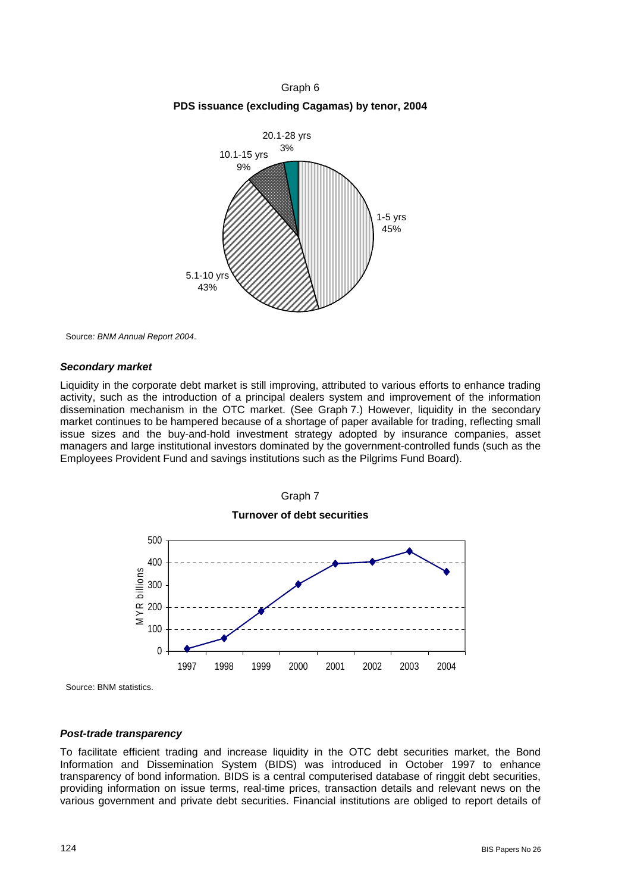



Source*: BNM Annual Report 2004*.

#### *Secondary market*

Liquidity in the corporate debt market is still improving, attributed to various efforts to enhance trading activity, such as the introduction of a principal dealers system and improvement of the information dissemination mechanism in the OTC market. (See Graph 7.) However, liquidity in the secondary market continues to be hampered because of a shortage of paper available for trading, reflecting small issue sizes and the buy-and-hold investment strategy adopted by insurance companies, asset managers and large institutional investors dominated by the government-controlled funds (such as the Employees Provident Fund and savings institutions such as the Pilgrims Fund Board).

Graph 7



Source: BNM statistics.

#### *Post-trade transparency*

To facilitate efficient trading and increase liquidity in the OTC debt securities market, the Bond Information and Dissemination System (BIDS) was introduced in October 1997 to enhance transparency of bond information. BIDS is a central computerised database of ringgit debt securities, providing information on issue terms, real-time prices, transaction details and relevant news on the various government and private debt securities. Financial institutions are obliged to report details of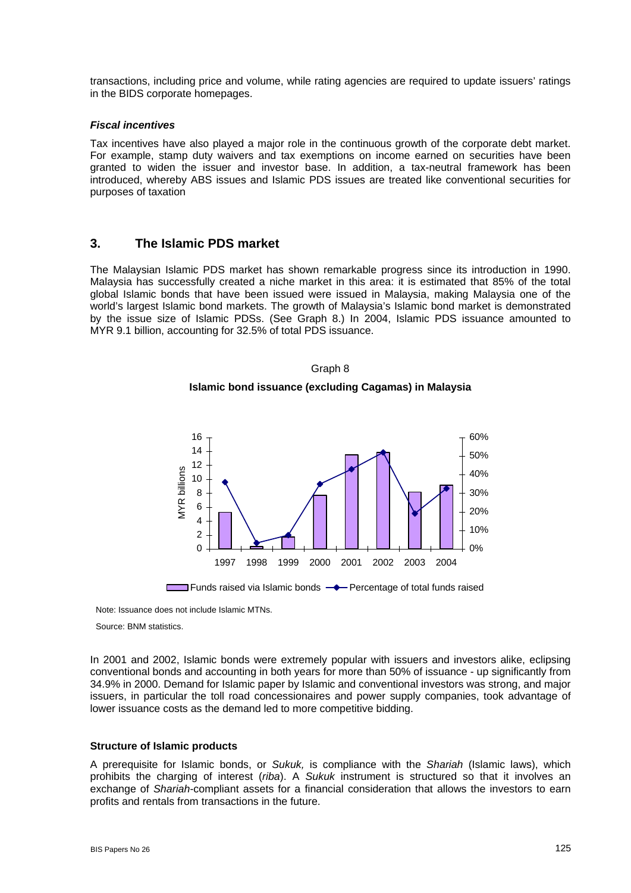transactions, including price and volume, while rating agencies are required to update issuers' ratings in the BIDS corporate homepages.

#### *Fiscal incentives*

Tax incentives have also played a major role in the continuous growth of the corporate debt market. For example, stamp duty waivers and tax exemptions on income earned on securities have been granted to widen the issuer and investor base. In addition, a tax-neutral framework has been introduced, whereby ABS issues and Islamic PDS issues are treated like conventional securities for purposes of taxation

## **3. The Islamic PDS market**

The Malaysian Islamic PDS market has shown remarkable progress since its introduction in 1990. Malaysia has successfully created a niche market in this area: it is estimated that 85% of the total global Islamic bonds that have been issued were issued in Malaysia, making Malaysia one of the world's largest Islamic bond markets. The growth of Malaysia's Islamic bond market is demonstrated by the issue size of Islamic PDSs. (See Graph 8.) In 2004, Islamic PDS issuance amounted to MYR 9.1 billion, accounting for 32.5% of total PDS issuance.

#### Graph 8

#### **Islamic bond issuance (excluding Cagamas) in Malaysia**



Note: Issuance does not include Islamic MTNs.

Source: BNM statistics.

In 2001 and 2002, Islamic bonds were extremely popular with issuers and investors alike, eclipsing conventional bonds and accounting in both years for more than 50% of issuance - up significantly from 34.9% in 2000. Demand for Islamic paper by Islamic and conventional investors was strong, and major issuers, in particular the toll road concessionaires and power supply companies, took advantage of lower issuance costs as the demand led to more competitive bidding.

## **Structure of Islamic products**

A prerequisite for Islamic bonds, or *Sukuk,* is compliance with the *Shariah* (Islamic laws), which prohibits the charging of interest (*riba*). A *Sukuk* instrument is structured so that it involves an exchange of *Shariah*-compliant assets for a financial consideration that allows the investors to earn profits and rentals from transactions in the future.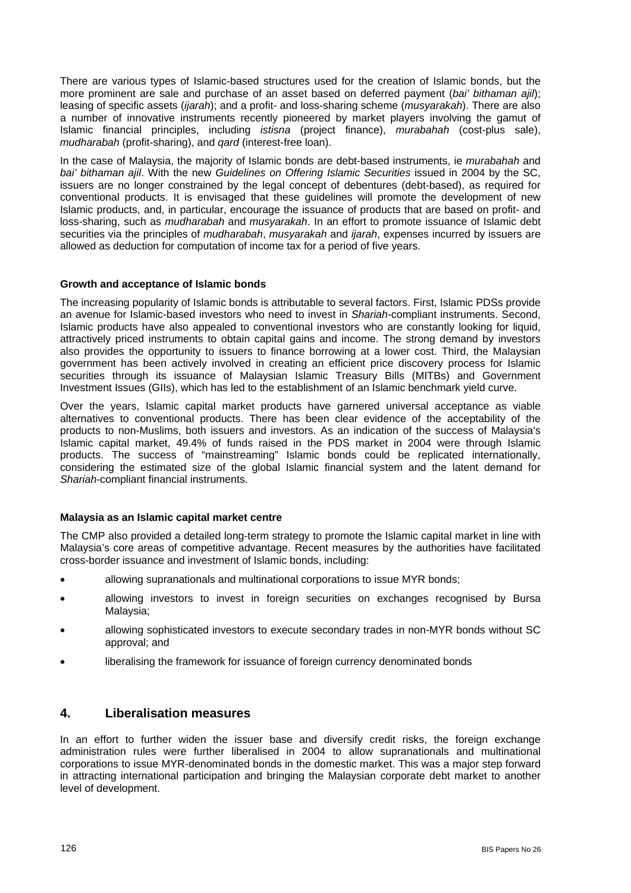There are various types of Islamic-based structures used for the creation of Islamic bonds, but the more prominent are sale and purchase of an asset based on deferred payment (*bai' bithaman ajil*); leasing of specific assets (*ijarah*); and a profit- and loss-sharing scheme (*musyarakah*). There are also a number of innovative instruments recently pioneered by market players involving the gamut of Islamic financial principles, including *istisna* (project finance), *murabahah* (cost-plus sale), *mudharabah* (profit-sharing), and *qard* (interest-free loan).

In the case of Malaysia, the majority of Islamic bonds are debt-based instruments, ie *murabahah* and *bai' bithaman ajil*. With the new *Guidelines on Offering Islamic Securities* issued in 2004 by the SC, issuers are no longer constrained by the legal concept of debentures (debt-based), as required for conventional products. It is envisaged that these guidelines will promote the development of new Islamic products, and, in particular, encourage the issuance of products that are based on profit- and loss-sharing, such as *mudharabah* and *musyarakah*. In an effort to promote issuance of Islamic debt securities via the principles of *mudharabah*, *musyarakah* and *ijarah*, expenses incurred by issuers are allowed as deduction for computation of income tax for a period of five years.

#### **Growth and acceptance of Islamic bonds**

The increasing popularity of Islamic bonds is attributable to several factors. First, Islamic PDSs provide an avenue for Islamic-based investors who need to invest in *Shariah*-compliant instruments. Second, Islamic products have also appealed to conventional investors who are constantly looking for liquid, attractively priced instruments to obtain capital gains and income. The strong demand by investors also provides the opportunity to issuers to finance borrowing at a lower cost. Third, the Malaysian government has been actively involved in creating an efficient price discovery process for Islamic securities through its issuance of Malaysian Islamic Treasury Bills (MITBs) and Government Investment Issues (GIIs), which has led to the establishment of an Islamic benchmark yield curve.

Over the years, Islamic capital market products have garnered universal acceptance as viable alternatives to conventional products. There has been clear evidence of the acceptability of the products to non-Muslims, both issuers and investors. As an indication of the success of Malaysia's Islamic capital market, 49.4% of funds raised in the PDS market in 2004 were through Islamic products. The success of "mainstreaming" Islamic bonds could be replicated internationally, considering the estimated size of the global Islamic financial system and the latent demand for *Shariah*-compliant financial instruments.

#### **Malaysia as an Islamic capital market centre**

The CMP also provided a detailed long-term strategy to promote the Islamic capital market in line with Malaysia's core areas of competitive advantage. Recent measures by the authorities have facilitated cross-border issuance and investment of Islamic bonds, including:

- allowing supranationals and multinational corporations to issue MYR bonds;
- allowing investors to invest in foreign securities on exchanges recognised by Bursa Malaysia;
- allowing sophisticated investors to execute secondary trades in non-MYR bonds without SC approval; and
- liberalising the framework for issuance of foreign currency denominated bonds

## **4. Liberalisation measures**

In an effort to further widen the issuer base and diversify credit risks, the foreign exchange administration rules were further liberalised in 2004 to allow supranationals and multinational corporations to issue MYR-denominated bonds in the domestic market. This was a major step forward in attracting international participation and bringing the Malaysian corporate debt market to another level of development.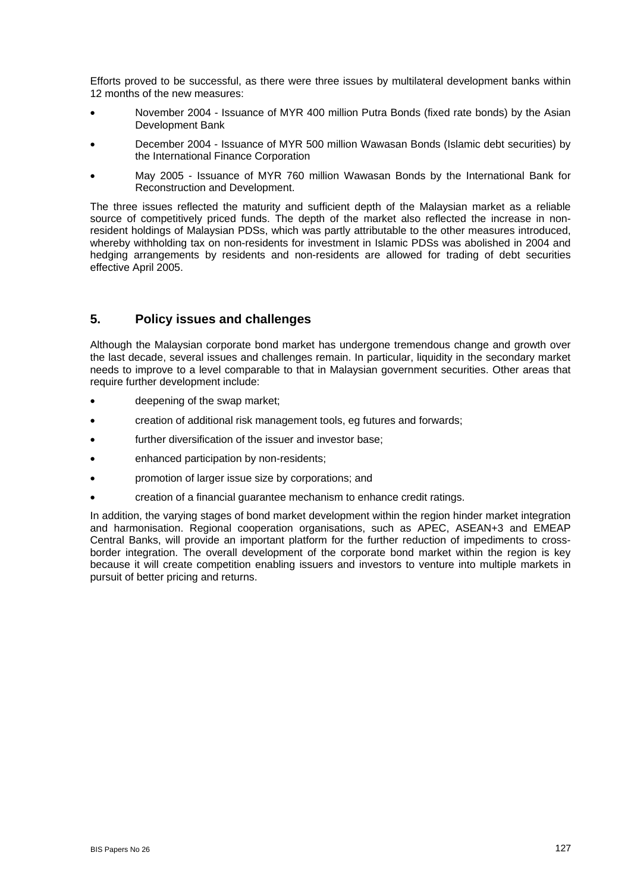Efforts proved to be successful, as there were three issues by multilateral development banks within 12 months of the new measures:

- November 2004 Issuance of MYR 400 million Putra Bonds (fixed rate bonds) by the Asian Development Bank
- December 2004 Issuance of MYR 500 million Wawasan Bonds (Islamic debt securities) by the International Finance Corporation
- May 2005 Issuance of MYR 760 million Wawasan Bonds by the International Bank for Reconstruction and Development.

The three issues reflected the maturity and sufficient depth of the Malaysian market as a reliable source of competitively priced funds. The depth of the market also reflected the increase in nonresident holdings of Malaysian PDSs, which was partly attributable to the other measures introduced, whereby withholding tax on non-residents for investment in Islamic PDSs was abolished in 2004 and hedging arrangements by residents and non-residents are allowed for trading of debt securities effective April 2005.

# **5. Policy issues and challenges**

Although the Malaysian corporate bond market has undergone tremendous change and growth over the last decade, several issues and challenges remain. In particular, liquidity in the secondary market needs to improve to a level comparable to that in Malaysian government securities. Other areas that require further development include:

- deepening of the swap market;
- creation of additional risk management tools, eg futures and forwards;
- further diversification of the issuer and investor base:
- enhanced participation by non-residents:
- promotion of larger issue size by corporations; and
- creation of a financial guarantee mechanism to enhance credit ratings.

In addition, the varying stages of bond market development within the region hinder market integration and harmonisation. Regional cooperation organisations, such as APEC, ASEAN+3 and EMEAP Central Banks, will provide an important platform for the further reduction of impediments to crossborder integration. The overall development of the corporate bond market within the region is key because it will create competition enabling issuers and investors to venture into multiple markets in pursuit of better pricing and returns.